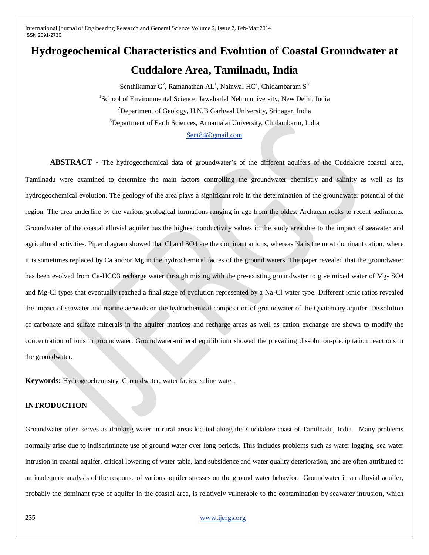# **Hydrogeochemical Characteristics and Evolution of Coastal Groundwater at**

## **Cuddalore Area, Tamilnadu, India**

Senthikumar  $G^2$ , Ramanathan AL<sup>1</sup>, Nainwal HC<sup>2</sup>, Chidambaram S<sup>3</sup> <sup>1</sup>School of Environmental Science, Jawaharlal Nehru university, New Delhi, India <sup>2</sup>Department of Geology, H.N.B Garhwal University, Srinagar, India <sup>3</sup>Department of Earth Sciences, Annamalai University, Chidambarm, India [Sent84@gmail.com](mailto:Sent84@gmail.com)

**ABSTRACT -** The hydrogeochemical data of groundwater's of the different aquifers of the Cuddalore coastal area, Tamilnadu were examined to determine the main factors controlling the groundwater chemistry and salinity as well as its hydrogeochemical evolution. The geology of the area plays a significant role in the determination of the groundwater potential of the region. The area underline by the various geological formations ranging in age from the oldest Archaean rocks to recent sediments. Groundwater of the coastal alluvial aquifer has the highest conductivity values in the study area due to the impact of seawater and agricultural activities. Piper diagram showed that Cl and SO4 are the dominant anions, whereas Na is the most dominant cation, where it is sometimes replaced by Ca and/or Mg in the hydrochemical facies of the ground waters. The paper revealed that the groundwater has been evolved from Ca-HCO3 recharge water through mixing with the pre-existing groundwater to give mixed water of Mg- SO4 and Mg-Cl types that eventually reached a final stage of evolution represented by a Na-Cl water type. Different ionic ratios revealed the impact of seawater and marine aerosols on the hydrochemical composition of groundwater of the Quaternary aquifer. Dissolution of carbonate and sulfate minerals in the aquifer matrices and recharge areas as well as cation exchange are shown to modify the concentration of ions in groundwater. Groundwater-mineral equilibrium showed the prevailing dissolution-precipitation reactions in the groundwater.

**Keywords:** Hydrogeochemistry, Groundwater, water facies, saline water,

### **INTRODUCTION**

Groundwater often serves as drinking water in rural areas located along the Cuddalore coast of Tamilnadu, India. Many problems normally arise due to indiscriminate use of ground water over long periods. This includes problems such as water logging, sea water intrusion in coastal aquifer, critical lowering of water table, land subsidence and water quality deterioration, and are often attributed to an inadequate analysis of the response of various aquifer stresses on the ground water behavior. Groundwater in an alluvial aquifer, probably the dominant type of aquifer in the coastal area, is relatively vulnerable to the contamination by seawater intrusion, which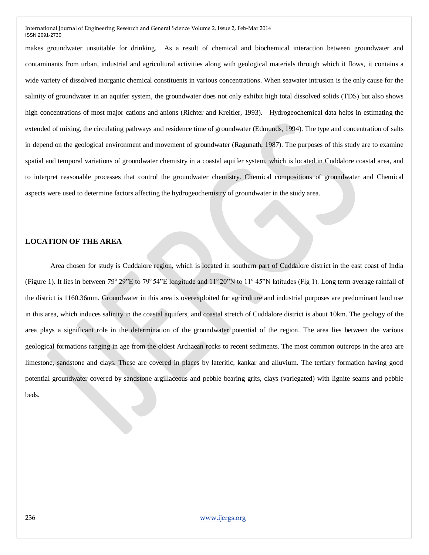makes groundwater unsuitable for drinking. As a result of chemical and biochemical interaction between groundwater and contaminants from urban, industrial and agricultural activities along with geological materials through which it flows, it contains a wide variety of dissolved inorganic chemical constituents in various concentrations. When seawater intrusion is the only cause for the salinity of groundwater in an aquifer system, the groundwater does not only exhibit high total dissolved solids (TDS) but also shows high concentrations of most major cations and anions (Richter and Kreitler, 1993). Hydrogeochemical data helps in estimating the extended of mixing, the circulating pathways and residence time of groundwater (Edmunds, 1994). The type and concentration of salts in depend on the geological environment and movement of groundwater (Ragunath, 1987). The purposes of this study are to examine spatial and temporal variations of groundwater chemistry in a coastal aquifer system, which is located in Cuddalore coastal area, and to interpret reasonable processes that control the groundwater chemistry. Chemical compositions of groundwater and Chemical aspects were used to determine factors affecting the hydrogeochemistry of groundwater in the study area.

#### **LOCATION OF THE AREA**

Area chosen for study is Cuddalore region, which is located in southern part of Cuddalore district in the east coast of India (Figure 1). It lies in between  $79^{\circ}$  29"E to  $79^{\circ}$  54"E longitude and  $11^{\circ}$  20"N to  $11^{\circ}$  45"N latitudes (Fig 1). Long term average rainfall of the district is 1160.36mm. Groundwater in this area is overexploited for agriculture and industrial purposes are predominant land use in this area, which induces salinity in the coastal aquifers, and coastal stretch of Cuddalore district is about 10km. The geology of the area plays a significant role in the determination of the groundwater potential of the region. The area lies between the various geological formations ranging in age from the oldest Archaean rocks to recent sediments. The most common outcrops in the area are limestone, sandstone and clays. These are covered in places by lateritic, kankar and alluvium. The tertiary formation having good potential groundwater covered by sandstone argillaceous and pebble bearing grits, clays (variegated) with lignite seams and pebble beds.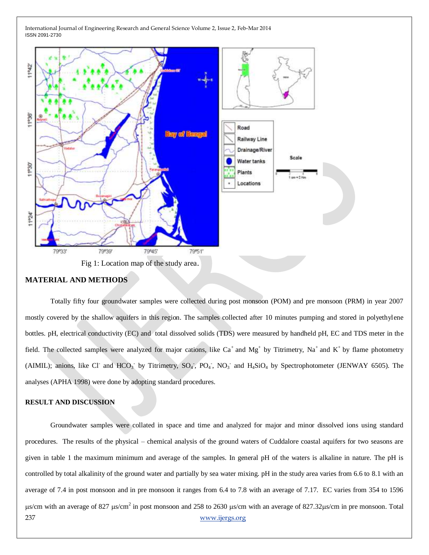

#### **MATERIAL AND METHODS**

Totally fifty four groundwater samples were collected during post monsoon (POM) and pre monsoon (PRM) in year 2007 mostly covered by the shallow aquifers in this region. The samples collected after 10 minutes pumping and stored in polyethylene bottles. pH, electrical conductivity (EC) and total dissolved solids (TDS) were measured by handheld pH, EC and TDS meter in the field. The collected samples were analyzed for major cations, like  $Ca^+$  and  $Mg^+$  by Titrimetry,  $Na^+$  and  $K^+$  by flame photometry (AIMIL); anions, like Cl<sup>-</sup> and HCO<sub>3</sub><sup>-</sup> by Titrimetry,  $SO_4$ ,  $PO_4$ ,  $NO_3$ <sup>-</sup> and  $H_4SiO_4$  by Spectrophotometer (JENWAY 6505). The analyses (APHA 1998) were done by adopting standard procedures.

#### **RESULT AND DISCUSSION**

237 [www.ijergs.org](http://www.ijergs.org/) Groundwater samples were collated in space and time and analyzed for major and minor dissolved ions using standard procedures. The results of the physical – chemical analysis of the ground waters of Cuddalore coastal aquifers for two seasons are given in table 1 the maximum minimum and average of the samples. In general pH of the waters is alkaline in nature. The pH is controlled by total alkalinity of the ground water and partially by sea water mixing. pH in the study area varies from 6.6 to 8.1 with an average of 7.4 in post monsoon and in pre monsoon it ranges from 6.4 to 7.8 with an average of 7.17. EC varies from 354 to 1596  $\mu$ s/cm with an average of 827  $\mu$ s/cm<sup>2</sup> in post monsoon and 258 to 2630  $\mu$ s/cm with an average of 827.32 $\mu$ s/cm in pre monsoon. Total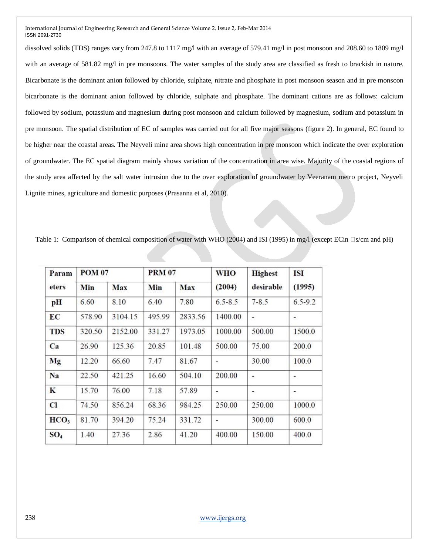dissolved solids (TDS) ranges vary from 247.8 to 1117 mg/l with an average of 579.41 mg/l in post monsoon and 208.60 to 1809 mg/l with an average of 581.82 mg/l in pre monsoons. The water samples of the study area are classified as fresh to brackish in nature. Bicarbonate is the dominant anion followed by chloride, sulphate, nitrate and phosphate in post monsoon season and in pre monsoon bicarbonate is the dominant anion followed by chloride, sulphate and phosphate. The dominant cations are as follows: calcium followed by sodium, potassium and magnesium during post monsoon and calcium followed by magnesium, sodium and potassium in pre monsoon. The spatial distribution of EC of samples was carried out for all five major seasons (figure 2). In general, EC found to be higher near the coastal areas. The Neyveli mine area shows high concentration in pre monsoon which indicate the over exploration of groundwater. The EC spatial diagram mainly shows variation of the concentration in area wise. Majority of the coastal regions of the study area affected by the salt water intrusion due to the over exploration of groundwater by Veeranam metro project, Neyveli Lignite mines, agriculture and domestic purposes (Prasanna et al, 2010).

Table 1: Comparison of chemical composition of water with WHO (2004) and ISI (1995) in mg/l (except ECin  $\Box s/cm$  and pH)

| Param<br>eters   | <b>POM 07</b> |         | <b>PRM 07</b> |         | <b>WHO</b>     | <b>Highest</b> | <b>ISI</b>  |
|------------------|---------------|---------|---------------|---------|----------------|----------------|-------------|
|                  | Min           | Max     | Min           | Max     | (2004)         | desirable      | (1995)      |
| pH               | 6.60          | 8.10    | 6.40          | 7.80    | $6.5 - 8.5$    | $7 - 8.5$      | $6.5 - 9.2$ |
| EC               | 578.90        | 3104.15 | 495.99        | 2833.56 | 1400.00        | -              |             |
| <b>TDS</b>       | 320.50        | 2152.00 | 331.27        | 1973.05 | 1000.00        | 500.00         | 1500.0      |
| Ca               | 26.90         | 125.36  | 20.85         | 101.48  | 500.00         | 75.00          | 200.0       |
| Mg               | 12.20         | 66.60   | 7.47          | 81.67   | ÷              | 30.00          | 100.0       |
| Na               | 22.50         | 421.25  | 16.60         | 504.10  | 200.00         | ۰              |             |
| K                | 15.70         | 76.00   | 7.18          | 57.89   |                | ٠              | ٠           |
| Cl               | 74.50         | 856.24  | 68.36         | 984.25  | 250.00         | 250.00         | 1000.0      |
| HCO <sub>3</sub> | 81.70         | 394.20  | 75.24         | 331.72  | $\overline{a}$ | 300.00         | 600.0       |
| SO <sub>4</sub>  | 1.40          | 27.36   | 2.86          | 41.20   | 400.00         | 150.00         | 400.0       |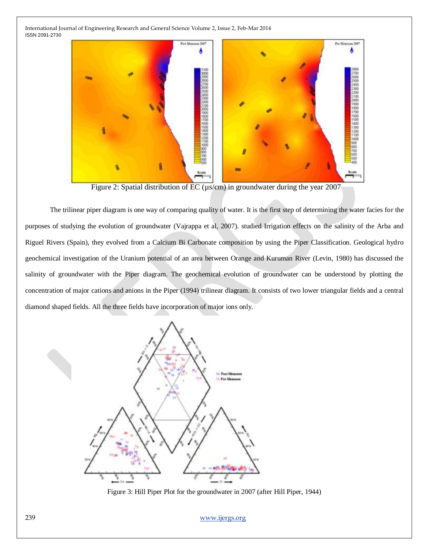

Figure 2: Spatial distribution of  $\overline{EC}$  ( $\mu$ s/cm) in groundwater during the year 2007

The trilinear piper diagram is one way of comparing quality of water. It is the first step of determining the water facies for the purposes of studying the evolution of groundwater (Vajrappa et al, 2007). studied Irrigation effects on the salinity of the Arba and Riguel Rivers (Spain), they evolved from a Calcium Bi Carbonate composition by using the Piper Classification. Geological hydro geochemical investigation of the Uranium potential of an area between Orange and Kuruman River (Levin, 1980) has discussed the salinity of groundwater with the Piper diagram. The geochemical evolution of groundwater can be understood by plotting the concentration of major cations and anions in the Piper (1994) trilinear diagram. It consists of two lower triangular fields and a central diamond shaped fields. All the three fields have incorporation of major ions only.



Figure 3: Hill Piper Plot for the groundwater in 2007 (after Hill Piper, 1944)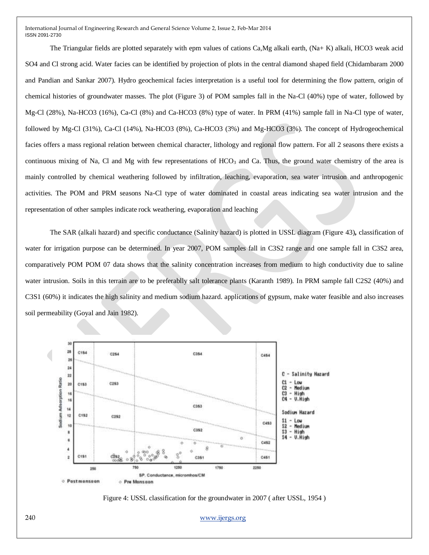The Triangular fields are plotted separately with epm values of cations Ca,Mg alkali earth, (Na+ K) alkali, HCO3 weak acid SO4 and Cl strong acid. Water facies can be identified by projection of plots in the central diamond shaped field (Chidambaram 2000 and Pandian and Sankar 2007). Hydro geochemical facies interpretation is a useful tool for determining the flow pattern, origin of chemical histories of groundwater masses. The plot (Figure 3) of POM samples fall in the Na-Cl (40%) type of water, followed by Mg-Cl (28%), Na-HCO3 (16%), Ca-Cl (8%) and Ca-HCO3 (8%) type of water. In PRM (41%) sample fall in Na-Cl type of water, followed by Mg-Cl (31%), Ca-Cl (14%), Na-HCO3 (8%), Ca-HCO3 (3%) and Mg-HCO3 (3%). The concept of Hydrogeochemical facies offers a mass regional relation between chemical character, lithology and regional flow pattern. For all 2 seasons there exists a continuous mixing of Na, Cl and Mg with few representations of  $HCO<sub>3</sub>$  and Ca. Thus, the ground water chemistry of the area is mainly controlled by chemical weathering followed by infiltration, leaching, evaporation, sea water intrusion and anthropogenic activities. The POM and PRM seasons Na-Cl type of water dominated in coastal areas indicating sea water intrusion and the representation of other samples indicate rock weathering, evaporation and leaching

The SAR (alkali hazard) and specific conductance (Salinity hazard) is plotted in USSL diagram (Figure 43)**,** classification of water for irrigation purpose can be determined. In year 2007, POM samples fall in C3S2 range and one sample fall in C3S2 area, comparatively POM POM 07 data shows that the salinity concentration increases from medium to high conductivity due to saline water intrusion. Soils in this terrain are to be preferablly salt tolerance plants (Karanth 1989). In PRM sample fall C2S2 (40%) and C3S1 (60%) it indicates the high salinity and medium sodium hazard. applications of gypsum, make water feasible and also increases soil permeability (Goyal and Jain 1982).



Figure 4: USSL classification for the groundwater in 2007 ( after USSL, 1954 )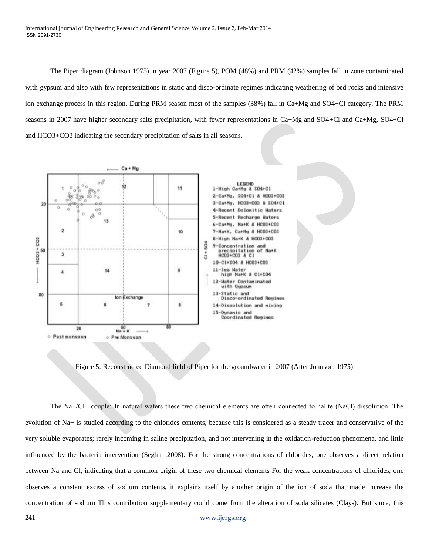The Piper diagram (Johnson 1975) in year 2007 (Figure 5), POM (48%) and PRM (42%) samples fall in zone contaminated with gypsum and also with few representations in static and disco-ordinate regimes indicating weathering of bed rocks and intensive ion exchange process in this region. During PRM season most of the samples (38%) fall in Ca+Mg and SO4+Cl category. The PRM seasons in 2007 have higher secondary salts precipitation, with fewer representations in Ca+Mg and SO4+Cl and Ca+Mg, SO4+Cl and HCO3+CO3 indicating the secondary precipitation of salts in all seasons.



Figure 5: Reconstructed Diamond field of Piper for the groundwater in 2007 (After Johnson, 1975)

The Na+/Cl− couple: In natural waters these two chemical elements are often connected to halite (NaCl) dissolution. The evolution of Na+ is studied according to the chlorides contents, because this is considered as a steady tracer and conservative of the very soluble evaporates; rarely incoming in saline precipitation, and not intervening in the oxidation-reduction phenomena, and little influenced by the bacteria intervention (Seghir ,2008). For the strong concentrations of chlorides, one observes a direct relation between Na and Cl, indicating that a common origin of these two chemical elements For the weak concentrations of chlorides, one observes a constant excess of sodium contents, it explains itself by another origin of the ion of soda that made increase the concentration of sodium This contribution supplementary could come from the alteration of soda silicates (Clays). But since, this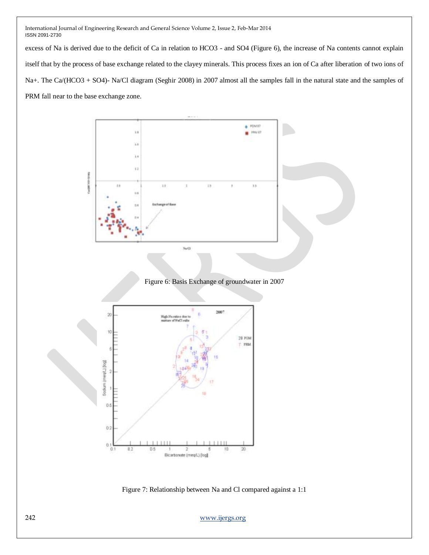excess of Na is derived due to the deficit of Ca in relation to HCO3 - and SO4 (Figure 6), the increase of Na contents cannot explain itself that by the process of base exchange related to the clayey minerals. This process fixes an ion of Ca after liberation of two ions of Na+. The Ca/(HCO3 + SO4)- Na/Cl diagram (Seghir 2008) in 2007 almost all the samples fall in the natural state and the samples of PRM fall near to the base exchange zone.



Figure 7: Relationship between Na and Cl compared against a 1:1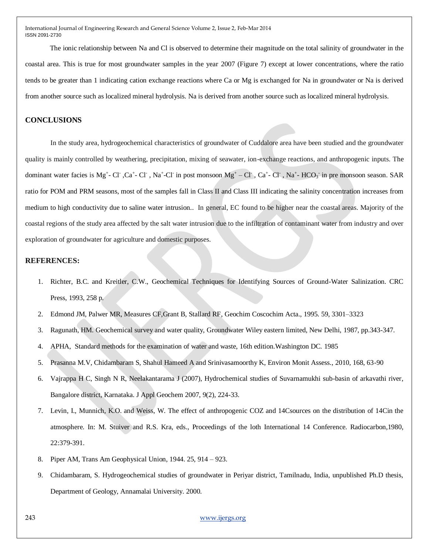The ionic relationship between Na and Cl is observed to determine their magnitude on the total salinity of groundwater in the coastal area. This is true for most groundwater samples in the year 2007 (Figure 7) except at lower concentrations, where the ratio tends to be greater than 1 indicating cation exchange reactions where Ca or Mg is exchanged for Na in groundwater or Na is derived from another source such as localized mineral hydrolysis. Na is derived from another source such as localized mineral hydrolysis.

#### **CONCLUSIONS**

In the study area, hydrogeochemical characteristics of groundwater of Cuddalore area have been studied and the groundwater quality is mainly controlled by weathering, precipitation, mixing of seawater, ion-exchange reactions, and anthropogenic inputs. The dominant water facies is Mg<sup>+</sup>- Cl<sup>-</sup>, Ca<sup>+</sup>- Cl<sup>-</sup>, Na<sup>+</sup>-Cl<sup>-</sup> in post monsoon Mg<sup>+</sup> - Cl<sup>-</sup>, Ca<sup>+</sup>- Cl<sup>-</sup>, Na<sup>+</sup>- HCO<sub>3</sub><sup>-</sup> in pre monsoon season. SAR ratio for POM and PRM seasons, most of the samples fall in Class II and Class III indicating the salinity concentration increases from medium to high conductivity due to saline water intrusion.. In general, EC found to be higher near the coastal areas. Majority of the coastal regions of the study area affected by the salt water intrusion due to the infiltration of contaminant water from industry and over exploration of groundwater for agriculture and domestic purposes.

#### **REFERENCES:**

- 1. Richter, B.C. and Kreitler, C.W., Geochemical Techniques for Identifying Sources of Ground-Water Salinization. CRC Press, 1993, 258 p.
- 2. Edmond JM, Palwer MR, Measures CF,Grant B, Stallard RF, Geochim Coscochim Acta., 1995. 59, 3301–3323
- 3. Ragunath, HM. Geochemical survey and water quality, Groundwater Wiley eastern limited, New Delhi, 1987, pp.343-347.
- 4. APHA, Standard methods for the examination of water and waste, 16th edition.Washington DC. 1985
- 5. Prasanna M.V, Chidambaram S, Shahul Hameed A and Srinivasamoorthy K, Environ Monit Assess., 2010, 168, 63-90
- 6. Vajrappa H C, Singh N R, Neelakantarama J (2007), Hydrochemical studies of Suvarnamukhi sub-basin of arkavathi river, Bangalore district, Karnataka. J Appl Geochem 2007, 9(2), 224-33.
- 7. Levin, I., Munnich, K.O. and Weiss, W. The effect of anthropogenic COZ and 14Csources on the distribution of 14Cin the atmosphere. In: M. Stuiver and R.S. Kra, eds., Proceedings of the loth International 14 Conference. Radiocarbon,1980, 22:379-391.
- 8. Piper AM, Trans Am Geophysical Union, 1944. 25, 914 923.
- 9. Chidambaram, S. Hydrogeochemical studies of groundwater in Periyar district, Tamilnadu, India, unpublished Ph.D thesis, Department of Geology, Annamalai University. 2000.